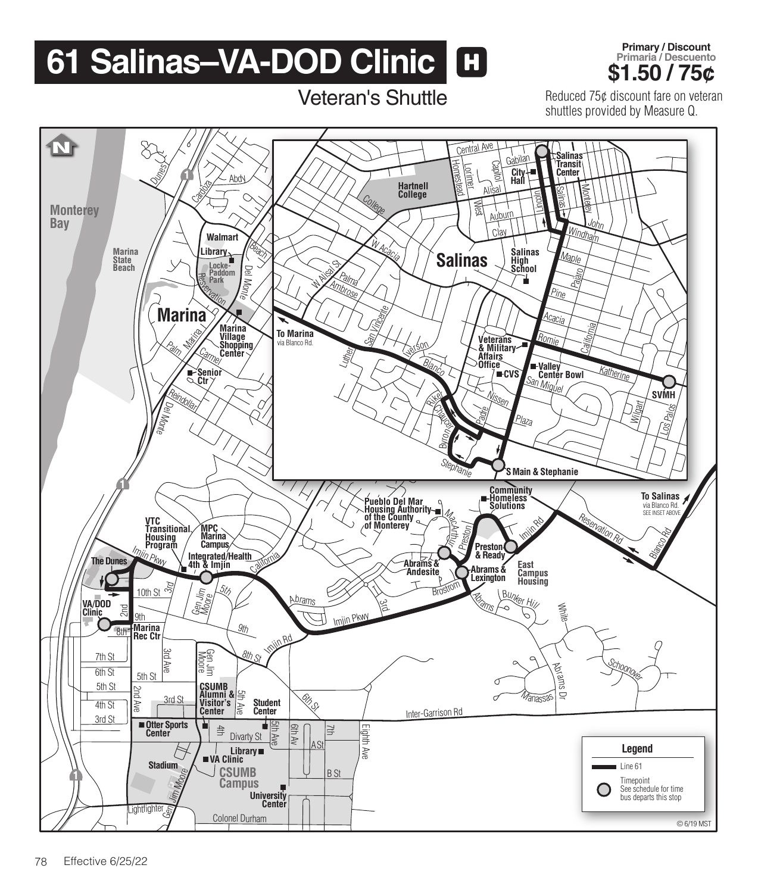## **61 Salinas–VA-DOD Clinic <b>H Brimary/Discount \$1.50 / 75¢**

Veteran's Shuttle



Reduced 75¢ discount fare on veteran shuttles provided by Measure Q.